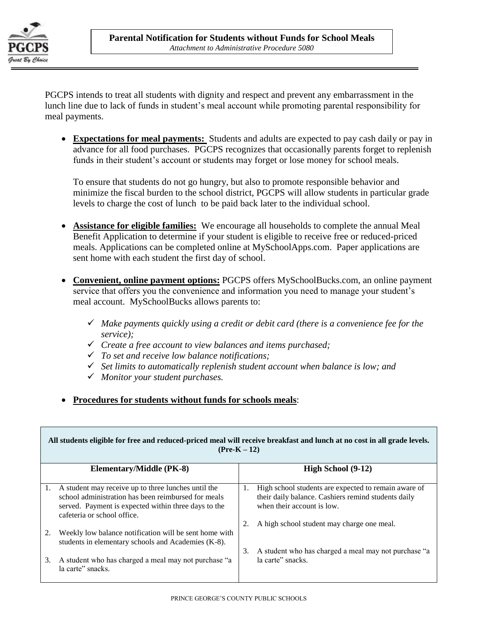

PGCPS intends to treat all students with dignity and respect and prevent any embarrassment in the lunch line due to lack of funds in student's meal account while promoting parental responsibility for meal payments.

 **Expectations for meal payments:** Students and adults are expected to pay cash daily or pay in advance for all food purchases. PGCPS recognizes that occasionally parents forget to replenish funds in their student's account or students may forget or lose money for school meals.

To ensure that students do not go hungry, but also to promote responsible behavior and minimize the fiscal burden to the school district, PGCPS will allow students in particular grade levels to charge the cost of lunch to be paid back later to the individual school.

- **Assistance for eligible families:** We encourage all households to complete the annual Meal Benefit Application to determine if your student is eligible to receive free or reduced-priced meals. Applications can be completed online at MySchoolApps.com. Paper applications are sent home with each student the first day of school.
- **Convenient, online payment options:** PGCPS offers MySchoolBucks.com, an online payment service that offers you the convenience and information you need to manage your student's meal account. MySchoolBucks allows parents to:
	- *Make payments quickly using a credit or debit card (there is a convenience fee for the service);*
	- *Create a free account to view balances and items purchased;*
	- *To set and receive low balance notifications;*
	- *Set limits to automatically replenish student account when balance is low; and*
	- *Monitor your student purchases.*
- **Procedures for students without funds for schools meals**:

| All students eligible for free and reduced-priced meal will receive breakfast and lunch at no cost in all grade levels.<br>$(Pre-K-12)$ |                                                                                                                                                                                                   |    |                                                                                                                                           |  |
|-----------------------------------------------------------------------------------------------------------------------------------------|---------------------------------------------------------------------------------------------------------------------------------------------------------------------------------------------------|----|-------------------------------------------------------------------------------------------------------------------------------------------|--|
|                                                                                                                                         | <b>Elementary/Middle (PK-8)</b>                                                                                                                                                                   |    | High School (9-12)                                                                                                                        |  |
| 1.                                                                                                                                      | A student may receive up to three lunches until the<br>school administration has been reimbursed for meals<br>served. Payment is expected within three days to the<br>cafeteria or school office. | 1. | High school students are expected to remain aware of<br>their daily balance. Cashiers remind students daily<br>when their account is low. |  |
|                                                                                                                                         |                                                                                                                                                                                                   |    | A high school student may charge one meal.                                                                                                |  |
| 2.                                                                                                                                      | Weekly low balance notification will be sent home with<br>students in elementary schools and Academies (K-8).                                                                                     |    |                                                                                                                                           |  |
| 3.                                                                                                                                      | A student who has charged a meal may not purchase "a<br>la carte" snacks.                                                                                                                         | 3. | A student who has charged a meal may not purchase "a<br>la carte" snacks.                                                                 |  |